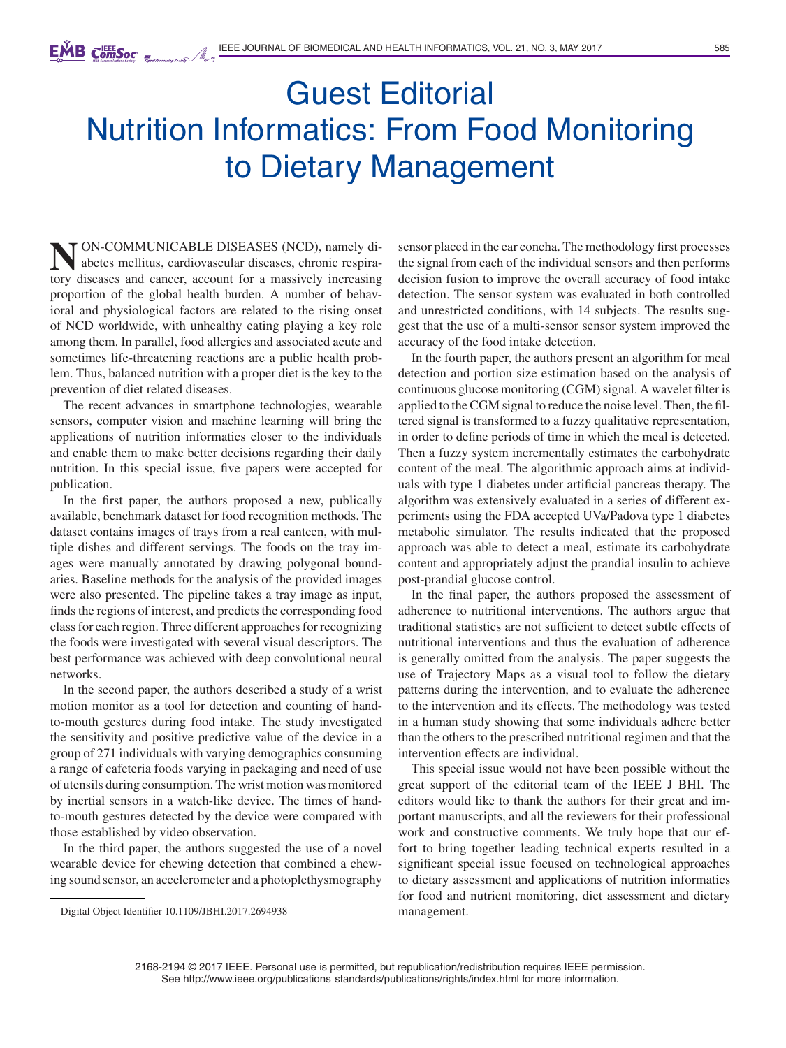## Guest Editorial Nutrition Informatics: From Food Monitoring to Dietary Management

**NON-COMMUNICABLE DISEASES (NCD), namely diabetes mellitus, cardiovascular diseases, chronic respira-<br>tory diseases, and cancer, account for a massively increasing** tory diseases and cancer, account for a massively increasing proportion of the global health burden. A number of behavioral and physiological factors are related to the rising onset of NCD worldwide, with unhealthy eating playing a key role among them. In parallel, food allergies and associated acute and sometimes life-threatening reactions are a public health problem. Thus, balanced nutrition with a proper diet is the key to the prevention of diet related diseases.

The recent advances in smartphone technologies, wearable sensors, computer vision and machine learning will bring the applications of nutrition informatics closer to the individuals and enable them to make better decisions regarding their daily nutrition. In this special issue, five papers were accepted for publication.

In the first paper, the authors proposed a new, publically available, benchmark dataset for food recognition methods. The dataset contains images of trays from a real canteen, with multiple dishes and different servings. The foods on the tray images were manually annotated by drawing polygonal boundaries. Baseline methods for the analysis of the provided images were also presented. The pipeline takes a tray image as input, finds the regions of interest, and predicts the corresponding food class for each region. Three different approaches for recognizing the foods were investigated with several visual descriptors. The best performance was achieved with deep convolutional neural networks.

In the second paper, the authors described a study of a wrist motion monitor as a tool for detection and counting of handto-mouth gestures during food intake. The study investigated the sensitivity and positive predictive value of the device in a group of 271 individuals with varying demographics consuming a range of cafeteria foods varying in packaging and need of use of utensils during consumption. The wrist motion was monitored by inertial sensors in a watch-like device. The times of handto-mouth gestures detected by the device were compared with those established by video observation.

In the third paper, the authors suggested the use of a novel wearable device for chewing detection that combined a chewing sound sensor, an accelerometer and a photoplethysmography sensor placed in the ear concha. The methodology first processes the signal from each of the individual sensors and then performs decision fusion to improve the overall accuracy of food intake detection. The sensor system was evaluated in both controlled and unrestricted conditions, with 14 subjects. The results suggest that the use of a multi-sensor sensor system improved the accuracy of the food intake detection.

In the fourth paper, the authors present an algorithm for meal detection and portion size estimation based on the analysis of continuous glucose monitoring (CGM) signal. A wavelet filter is applied to the CGM signal to reduce the noise level. Then, the filtered signal is transformed to a fuzzy qualitative representation, in order to define periods of time in which the meal is detected. Then a fuzzy system incrementally estimates the carbohydrate content of the meal. The algorithmic approach aims at individuals with type 1 diabetes under artificial pancreas therapy. The algorithm was extensively evaluated in a series of different experiments using the FDA accepted UVa/Padova type 1 diabetes metabolic simulator. The results indicated that the proposed approach was able to detect a meal, estimate its carbohydrate content and appropriately adjust the prandial insulin to achieve post-prandial glucose control.

In the final paper, the authors proposed the assessment of adherence to nutritional interventions. The authors argue that traditional statistics are not sufficient to detect subtle effects of nutritional interventions and thus the evaluation of adherence is generally omitted from the analysis. The paper suggests the use of Trajectory Maps as a visual tool to follow the dietary patterns during the intervention, and to evaluate the adherence to the intervention and its effects. The methodology was tested in a human study showing that some individuals adhere better than the others to the prescribed nutritional regimen and that the intervention effects are individual.

This special issue would not have been possible without the great support of the editorial team of the IEEE J BHI. The editors would like to thank the authors for their great and important manuscripts, and all the reviewers for their professional work and constructive comments. We truly hope that our effort to bring together leading technical experts resulted in a significant special issue focused on technological approaches to dietary assessment and applications of nutrition informatics for food and nutrient monitoring, diet assessment and dietary management.

2168-2194 © 2017 IEEE. Personal use is permitted, but republication/redistribution requires IEEE permission. See http://www.ieee.org/publications standards/publications/rights/index.html for more information.

Digital Object Identifier 10.1109/JBHI.2017.2694938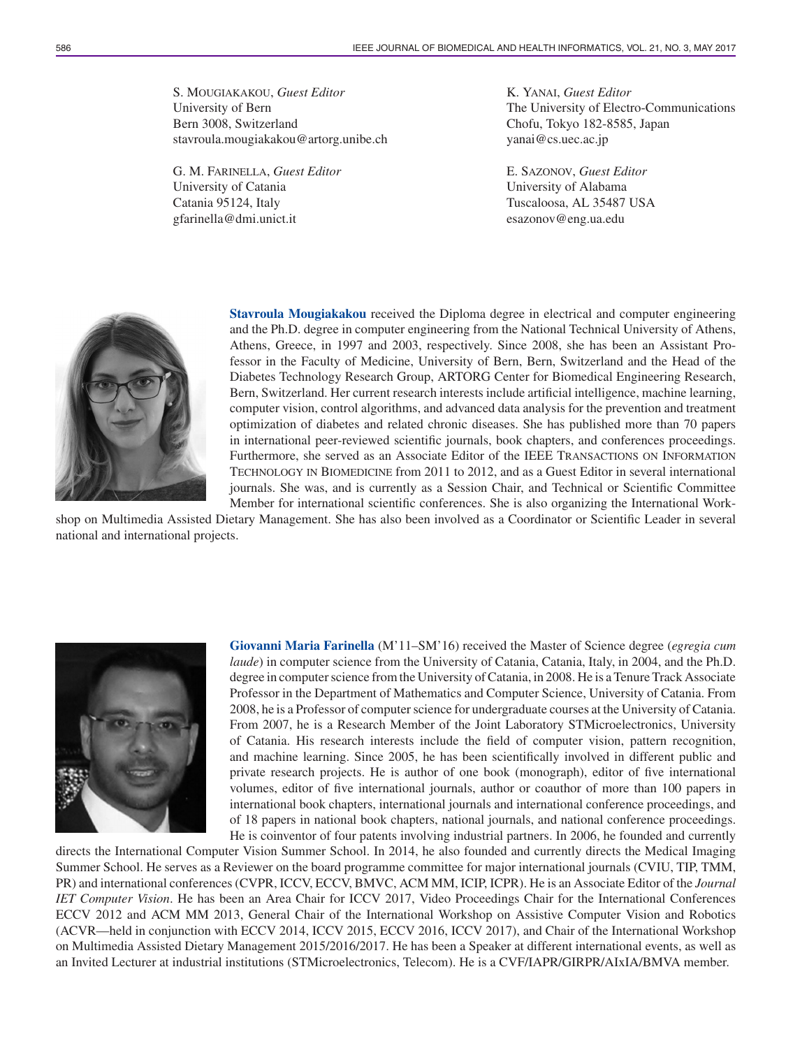S. MOUGIAKAKOU, *Guest Editor* University of Bern Bern 3008, Switzerland stavroula.mougiakakou@artorg.unibe.ch

G. M. FARINELLA, *Guest Editor* University of Catania Catania 95124, Italy gfarinella@dmi.unict.it

K. YANAI, *Guest Editor* The University of Electro-Communications Chofu, Tokyo 182-8585, Japan yanai@cs.uec.ac.jp

E. SAZONOV, *Guest Editor* University of Alabama Tuscaloosa, AL 35487 USA esazonov@eng.ua.edu



**Stavroula Mougiakakou** received the Diploma degree in electrical and computer engineering and the Ph.D. degree in computer engineering from the National Technical University of Athens, Athens, Greece, in 1997 and 2003, respectively. Since 2008, she has been an Assistant Professor in the Faculty of Medicine, University of Bern, Bern, Switzerland and the Head of the Diabetes Technology Research Group, ARTORG Center for Biomedical Engineering Research, Bern, Switzerland. Her current research interests include artificial intelligence, machine learning, computer vision, control algorithms, and advanced data analysis for the prevention and treatment optimization of diabetes and related chronic diseases. She has published more than 70 papers in international peer-reviewed scientific journals, book chapters, and conferences proceedings. Furthermore, she served as an Associate Editor of the IEEE TRANSACTIONS ON INFORMATION TECHNOLOGY IN BIOMEDICINE from 2011 to 2012, and as a Guest Editor in several international journals. She was, and is currently as a Session Chair, and Technical or Scientific Committee Member for international scientific conferences. She is also organizing the International Work-

shop on Multimedia Assisted Dietary Management. She has also been involved as a Coordinator or Scientific Leader in several national and international projects.



**Giovanni Maria Farinella** (M'11–SM'16) received the Master of Science degree (*egregia cum laude*) in computer science from the University of Catania, Catania, Italy, in 2004, and the Ph.D. degree in computer science from the University of Catania, in 2008. He is a Tenure Track Associate Professor in the Department of Mathematics and Computer Science, University of Catania. From 2008, he is a Professor of computer science for undergraduate courses at the University of Catania. From 2007, he is a Research Member of the Joint Laboratory STMicroelectronics, University of Catania. His research interests include the field of computer vision, pattern recognition, and machine learning. Since 2005, he has been scientifically involved in different public and private research projects. He is author of one book (monograph), editor of five international volumes, editor of five international journals, author or coauthor of more than 100 papers in international book chapters, international journals and international conference proceedings, and of 18 papers in national book chapters, national journals, and national conference proceedings. He is coinventor of four patents involving industrial partners. In 2006, he founded and currently

directs the International Computer Vision Summer School. In 2014, he also founded and currently directs the Medical Imaging Summer School. He serves as a Reviewer on the board programme committee for major international journals (CVIU, TIP, TMM, PR) and international conferences (CVPR, ICCV, ECCV, BMVC, ACM MM, ICIP, ICPR). He is an Associate Editor of the *Journal IET Computer Vision*. He has been an Area Chair for ICCV 2017, Video Proceedings Chair for the International Conferences ECCV 2012 and ACM MM 2013, General Chair of the International Workshop on Assistive Computer Vision and Robotics (ACVR—held in conjunction with ECCV 2014, ICCV 2015, ECCV 2016, ICCV 2017), and Chair of the International Workshop on Multimedia Assisted Dietary Management 2015/2016/2017. He has been a Speaker at different international events, as well as an Invited Lecturer at industrial institutions (STMicroelectronics, Telecom). He is a CVF/IAPR/GIRPR/AIxIA/BMVA member.